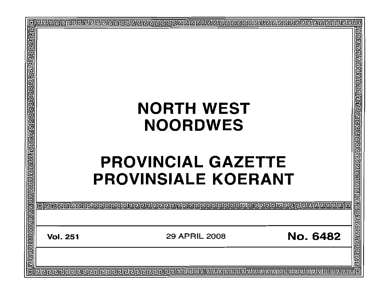|                                                         |                                                         | 回                                     |
|---------------------------------------------------------|---------------------------------------------------------|---------------------------------------|
| <u>गर्यराजन्यानकवारावाद्यद्याद्याचा चारावाद्यद्यावा</u> | <b>NORTH WEST</b><br><b>NOORDWES</b>                    | खाग नगण का बाह्य नगण का बाह्य बाह्य क |
| <u>प्रवागवान पर नगणनगणनामण्डल</u>                       | <b>PROVINCIAL GAZETTE</b><br><b>PROVINSIALE KOERANT</b> | गगगगगगगगगगगगगण                        |
|                                                         |                                                         |                                       |
|                                                         |                                                         |                                       |
|                                                         | <b>No. 6482</b><br>29 APRIL 2008<br><b>Vol. 251</b>     |                                       |
| 同                                                       |                                                         |                                       |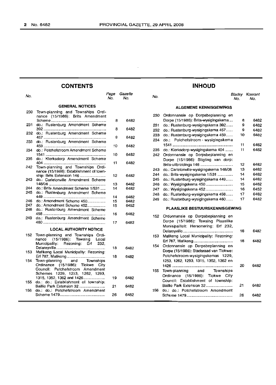$\cdot$ 

# **CONTENTS**

| No. |                                                                                                                                        | Page<br>No. | Gazette<br>No. |
|-----|----------------------------------------------------------------------------------------------------------------------------------------|-------------|----------------|
|     | <b>GENERAL NOTICES</b>                                                                                                                 |             |                |
| 230 | Town-planning and Townships Ordi-<br>nance (15/1986): Brits Amendment                                                                  | 8           | 6482           |
| 231 | do.: Rustenburg Amendment Scheme                                                                                                       | 8           | 6482           |
| 232 | do.: Rustenburg Amendment Scheme                                                                                                       | 9           | 6482           |
| 233 | do.: Rustenburg Amendment Scheme                                                                                                       | 10          | 6482           |
| 234 | do.: Potchefstroom Amendment Scheme                                                                                                    | 10          | 6482           |
| 235 | do.: Klerksdorp Amendment Scheme                                                                                                       | 11          | 6482           |
| 242 | Town-planning and Townships Ordi-<br>nance (15/1986): Establishment of town-                                                           |             |                |
| 243 | ship: Brits Extension 146<br>do.: Carletonville Amendment Scheme                                                                       | 12          | 6482           |
|     |                                                                                                                                        | 13          | 6482           |
| 244 | do.: Brits Amendment Scheme 1/531                                                                                                      | 14          | 6482           |
| 245 | do.: Rustenburg Amendment Scheme                                                                                                       | 14          | 6482           |
| 246 | do.: Amendment Scheme 450                                                                                                              | 15          | 6482           |
| 247 | do.: Amendment Scheme 452                                                                                                              | 15          | 6452           |
| 248 | do.: Rustenburg Amendment Scheme                                                                                                       |             |                |
|     |                                                                                                                                        | 16          | 6482           |
| 249 | do.: Rustenburg Amendment Scheme                                                                                                       | 17          | 6482           |
|     | <b>LOCAL AUTHORITY NOTICE</b>                                                                                                          |             |                |
| 152 | Town-planning and Townships Ordi-<br>nance (15/1986): Tswaing Local<br>Municipality: Rezoning: Erf 232,                                |             |                |
| 153 | Mafikeng Local Municipality: Rezoning:                                                                                                 | 18          | 6482           |
| 154 | Town-planning and Townships<br>Ordinance (15/1986): Tlokwe City<br>Council: Potchefstroom Amendment<br>Schemes 1229, 1253, 1262, 1293, | 18          | 6482           |
| 155 | 1315, 1352, 1362 and 1426<br>do.: do.: Establishment of township:                                                                      | 19          | 6482           |
| 156 | do.: do.: Potchefstroom Amendment                                                                                                      | 21          | 6482           |
|     |                                                                                                                                        | 26          | 6482           |

# **INHOUD**

| age<br>No. | Gazette<br>No. | No. |                                         | No. | <b>Bladsy Koerant</b><br>No. |
|------------|----------------|-----|-----------------------------------------|-----|------------------------------|
|            |                |     | <b>ALGEMENE KENNISGEWINGS</b>           |     |                              |
|            |                | 230 | Ordonnansie op Dorpsbeplanning en       |     |                              |
| 8          | 6482           |     | Dorpe (15/1986): Brits-wysigingskema    | 8   | 6482                         |
|            |                | 231 | do.: Rustenburg-wysigingskema 392       | 9   | 6482                         |
| 8          | 6482           | 232 | do.: Rustenburg-wysigingskema 457       | 9   | 6482                         |
| 9          | 6482           | 233 | do.: Rustenburg-wysigingskema 459       | 10  | 6482                         |
|            |                | 234 | do.: Potchefstroom - wysigingskema      |     |                              |
| 10         | 6482           |     |                                         | 11  | 6482                         |
|            |                | 235 | do.: Klerksdorp-wysigingskema 404       | 11  | 6482                         |
| 10         | 6482           | 242 | Ordonnansie op Dorpsbeplanning en       |     |                              |
|            |                |     | Dorpe (15/1986): Stigting van dorp:     |     |                              |
| 11         | 6482           |     | Brits-uitbreidings 146                  | 12  | 6482                         |
|            |                | 243 | do.: Carletonville-wysigingskema 148/08 | 13  | 6482                         |
| 12         | 6482           | 244 | do.: Brits-wysigingskema 1/531          | 14  | 6482                         |
|            |                | 245 | do.: Rustenburg-wysigingskema 449       | 14  | 6482                         |
| 13         | 6482           | 246 |                                         | 15  | 6482                         |
| 14         | 6482           | 247 | do.: Wysigingskema 452                  | 16  | 6452                         |
|            |                | 248 | do.: Rustenburg-wysigingskema 458       | 17  | 6482                         |
| 14<br>15   | 6482<br>6482   | 249 | do.: Rustenburg-wysigingskema 460       | 17  | 6482                         |
| 15         | 6452           |     |                                         |     |                              |
|            |                |     | <b>PLAASLIKE BESTUURSKENNISGEWING</b>   |     |                              |
| 16         | 6482           | 152 | Ordonnansie op Dorpsbeplanning en       |     |                              |
| 17         | 6482           |     | Dorpe (15/1986): Tswaing Plaaslike      |     |                              |
|            |                |     | Munisipaliteit: Hersonering: Erf 232,   |     |                              |
|            |                |     |                                         | 18  | 6482                         |
|            |                | 153 | Mafikeng Local Municipality: Rezoning:  |     |                              |
|            |                |     |                                         | 18  | 6482                         |
|            |                | 154 | Ordonnansie op Dorpsbeplanning en       |     |                              |
| 18         | 6482           |     | Dorpe (15/1986): Stadsraad van Tlokwe:  |     |                              |
| 18         | 6482           |     | Potchefstroom-wysigingskemas 1229,      |     |                              |
|            |                |     | 1253, 1262, 1293, 1315, 1352, 1362 en   |     |                              |
|            |                |     |                                         | 20  | 6482                         |
|            |                | 155 | Town-planning<br>and<br>Townships       |     |                              |
|            |                |     | Ordinance (15/1986): Tłokwe<br>City     |     |                              |
| 19         | 6482           |     | Council: Establishment of township:     |     |                              |
|            |                |     | Baillie Park Extension 32               | 21  | 6482                         |
| 21         | 6482           |     |                                         |     |                              |

156 do.: do.: Potchefstroom Amendment

Scheme 1479........................ 26

6482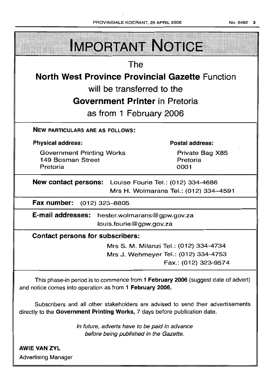

Subscribers and all other stakeholders are advised to send their advertisements directly to the Government Printing Works, 7 days before publication date.

> In future, adverts have to be paid in advance before being published in the Gazette.

AWIE VAN ZVL Advertising Manager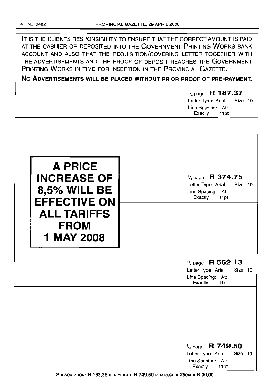IT IS THE CLIENTS RESPONSIBILITY TO ENSURE THAT THE CORRECT AMOUNT IS PAID AT THE CASHIER OR DEPOSITED INTO THE GOVERNMENT PRINTING WORKS BANK ACCOUNT AND ALSO THAT THE REQUISITION/COVERING LETTER TOGETHER WITH THE ADVERTISEMENTS AND THE PROOF OF DEPOSIT REACHES THE GOVERNMENT PRINTING WORKS IN TIME FOR INSERTION IN THE PROVINCIAL GAZETTE.

**No ADVERTISEMENTS WILL BE PLACED WITHOUT PRIOR PROOF OF PRE-PAYMENT.**

# 1/4 page **R 187.37** Letter Type: Arial Size: 10 Line Spacing: At: Exactly 11 pt 1/4 page **R 374.75** Letter Type: Arial Size: 10 Line Spacing: At: Exactly 11pt **A PRICE INCREASE OF 8,5% WILL BE EFFECTIVE ON ALL TARIFFS FROM 1 MAY 2008** 1/4 page **R 562.13** Letter Type: Arial Size: 10 Line Spacing: At: Exactly 11 pt 1/4 page R **749.50** Letter Type: Arial Size: 10 Line Spacing: At:<br>Exactly 11pt

SUBSCRIPTION: R 163,35 PER YEAR / R 749.50 PER PAGE = 25CM = R 30,00

Exactly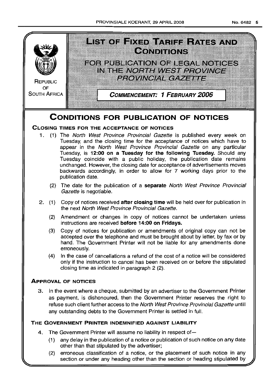

# **CLOSING TIMES FOR THE ACCEPTANCE OF NOTICES**

- 1. (1) The North West Province Provincial Gazette is published every week on Tuesday, and the closing time for the acceptance of notices which have to appear in the North West Province Provincial Gazette on any particular Tuesday, is **12:00 on a Tuesday for the following Tuesday.** Should any Tuesday coincide with a public holiday, the publication date remains unchanged. However, the closing date for acceptance of advertisements moves backwards accordingly, in order to allow for 7 working days prior to the publication date.
	- (2) The date for the publication of a **separate** North West Province Provincial Gazette is negotiable.
- 2. (1) Copy of notices received **after closing time** will be held over for publication in the next North West Province Provincial Gazette.
	- (2) Amendment or changes in copy of notices cannot be undertaken unless instructions are received **before 14:00 on Fridays.**
	- (3) Copy of notices for publication or amendments of original copy can not be accepted over the telephone and must be brought about by letter, by fax or by hand. The Government Printer will not be liable for any amendments done erroneously.
	- (4) In the case of cancellations a refund of the cost of a notice will be considered only if the instruction to cancel has been received on or before the stipulated closing time as indicated in paragraph 2 (2).

# **ApPROVAL OF NOTICES**

3. In the event where a cheque, submitted by an advertiser to the Government Printer as payment, is dishonoured, then the Government Printer reserves the right to refuse such client further access to the North West Province Provincial Gazette untill any outstanding debts to the Government Printer is settled in full.

# **THE GOVERNMENT PRINTER INDEMNIFIED AGAINST LIABILITY**

- 4. The Government Printer will assume no liability in respect of-
	- (1) any delay in the publication of a notice or publication of such notice on any date other than that stipulated by the advertiser;
	- (2) erroneous classification of a notice, or the placement of such notice in any section.or under any heading other than the section or heading stipulated by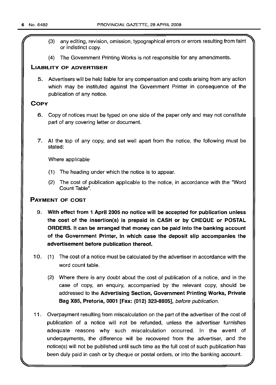- f' (3) any editing, revision, omission, typographical errors or errors resulting from faint or indistinct copy.
- (4) The Government Printing Works is not responsible for any amendments.

# LIABILITY OF ADVERTISER

5. Advertisers will be held liable for any compensation and costs arising from any action which may be instituted against the Government Printer in consequence of the publication of any notice.

# **COPY**

- 6. Copy of notices must be typed on one side of the paper only and may not constitute part of any covering letter or document.
- 7. At the top of any copy, and set well apart from the notice, the following must be stated:

Where applicable

- (1) The heading under which the notice is to appear.
- (2) The cost of publication applicable to the notice, in accordance with the "Word Count Table".

# PAYMENT OF COST

- 9. With effect from 1 April 2005 no notice will be accepted for publication unless the cost of the insertion(s) is prepaid in CASH or by CHEQUE or POSTAL ORDERS. It can be arranged that money can be paid into the banking account of the Government Printer, in which case the deposit slip accompanies the advertisement before publication thereof.
- 10. (1) The cost of a notice must be calculated by the advertiser in accordance with the word count table.
	- (2) Where there is any doubt about the cost of publication of a notice, and in the case of copy, an enquiry, accompanied by the relevant copy, should be addressed to the Advertising Section, Government Printing Works, Private Bag X85, Pretoria, 0001 [Fax: (012) 323-8805], before publication.
- 11 . Overpayment resulting from miscalculation on the part of the advertiser of the cost of publication of a notice will not be refunded, unless the advertiser furnishes adequate reasons why such miscalculation occurred. In the event of underpayments, the difference will be recovered from the advertiser, and the notice(s) will not be published until such time as the full cost of such publication has been duly paid in cash or by cheque or postal orders, or into the banking account.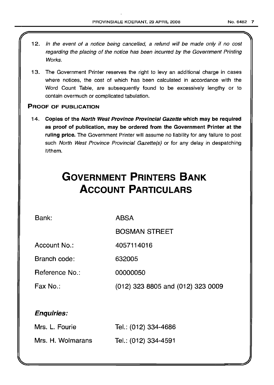- 12. In the event of a notice being cancelled, a refund will be made only if no cost regarding the placing of the notice has been incurred by the Government Printing Works.
- 13. The Government Printer reserves the right to levy an additional charge in cases where notices, the cost of which has been calculated in accordance with the Word Count Table, are subsequently found to be excessively lengthy or to contain overmuch or complicated tabulation.

# PROOF OF PUBLICATION

14. Copies of the North West Province Provincial Gazette which may be required as proof of publication, may be ordered from the Government Printer at the ruling price. The Government Printer will assume no liability for any failure to post such North West Province Provincial Gazette(s) or for any delay in despatching it/them.

# **GOVERNMENT PRINTERS BANK ACCOUNT PARTICULARS**

Bank:

ABSA

BOSMAN STREET

Account No.: 4057114016

Branch code: 632005

Reference No.: 00000050

Fax No.: (012) 323 8805 and (012) 323 0009

# Enquiries:

| Mrs. L. Fourie    | Tel.: (012) 334-4686 |
|-------------------|----------------------|
| Mrs. H. Wolmarans | Tel.: (012) 334-4591 |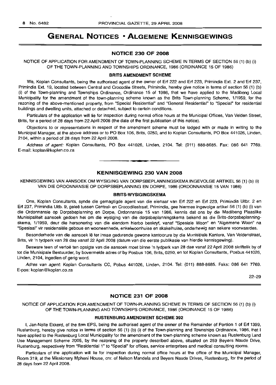# **GENERAL NOTICES • ALGEMENE KENNISGEWINGS**

# **NOTICE 230 OF 2008**

NOTICE OF APPLICATION FOR AMENDMENT OF TOWN-PLANNING SCHEME IN TERMS OF SECTION 56 (1) (b) (i) OF THE TOWN-PLANNING AND TOWNSHIPS ORDINANCE, 1986 (ORDINANCE 15 OF 1986)

#### **BRITS AMENDMENT SCHEME**

We, Koplan Consultants, being the authorised agent of the owner of Erf 222 and Erf 223, Primindia Ext. 2 and Erf 237, Primindia Ext. 19, located between Central and Crocodile Streets, Primindia, hereby give notice in terms of section 56 (1) (b) (i) of the Town-planning and Townships Ordinance, Ordinance 15 of 1986, that we have applied to the Madibeng Local Municipality for the amendment of the town-planning scheme known as the Brits Town-planning Scheme, 1/1959, for the rezoning of the above-mentioned property, from "Special Residential" and "General Residential" to "Special" for residential buildings and dwelling units, attached or detached, subject to certain conditions.

Particulars of the application will lie for inspection during normal office hours at the Municipal Offices, Van Velden Street, Brits, for a period of 28 days from 22 April 2008 (the date of the first publication of this notice).

Objections to or representations in respect of the amendment scheme must be lodged with or made in writing to the Municipal Manager, at the above address or to PO Box 106, Brits, 0250, and to Koplan Consultants, PO Box 441026, Linden, 2104, within a period of 28 days from 22 April 2008.

Address of agent: Koplan Consultants, PO Box 441026, Linden, 2104. Tel: (011) 888-8685. Fax: 086 641 7769. E-mail: koplan@koplan.co.za

### **KENNISGEWING 230 VAN 2008**

**•**

KENNISGEWING VAN AANSOEK OM WYSIGING VAN DORPSBEPLANNINGSKEMA INGEVOLGE ARTIKEL 56 (1) (b) (i) VAN DIE ORDONNANSIE OP DORPSBEPLANNING EN DORPE, 1986 (ORDONNANSIE 15 VAN 1986)

#### **BRITS-WYSIGINGSKEMA**

Ons, Koplan Consultants, synde die gemagtigde agent van die eienaar van Erf 222 en Erf 223, Primindia Uitbr. 2 en Erf 237, Primindia Uitb. 9, gelee tussen Central- en Crocodilestraat, Primindia, gee hiermee ingevolge artikel 56 (1) (b) (i) van die Ordonnansie op Dorpsbeplanning en Dorpe, Ordonnansie 15 van 1986, kennis dat ons by die Madibeng Plaaslike Munisipaliteit aansoek gedoen het om die wysiging van die dorpsbeplanningskema bekend as die Brits-dorpsbeplanningskema, 1/1959, deur die hersonering van die eiendom hierbo beskryf, vanaf "Spesiale Woon" en "Algemene Woon" na "Spesiaal" vir residensiele geboue en wooneenhede, enkelwoonhuise en skakelhuise, onderhewig aan sekere voorwaardes.

Besonderhede van die aansoek Ie ter insae gedurende gewone kantoorure by die Munisipale Kantore, Van Veldenstraat, Brits, vir 'n tydperk van 28 dae vanaf 22 April 2008 (datum van die eerste publikasie van hierdie kennisgewing).

Besware teen of vertoë ten opsigte van die aansoek moet binne 'n tydperk van 28 dae vanaf 22 April 2008 skriftelik by of tot die Munisipale Bestuurder, by bovermelde adres of by Posbus 106, Brits, 0250, en tot Koplan Consultants, Posbus 441026, Linden, 2104, ingedien of gerig word.

Adres van agent: Koplan Consultants CC, Pobus 441026, Linden, 2104. Tel: (011) 888-8685. Faks: 086 641 7769. E-pos: koplan@koplan.co.za

22-29

#### **NOTICE 231 OF 2008**

NOTICE OF APPLICATION FOR AMENDMENT OF TOWN-PLANNING SCHEME IN TERMS OF SECTION 56 (1) (b) (i) OF THE TOWN-PLANNING AND TOWNSHIPS ORDINANCE, 1986 (ORDINANCE 15 OF 1986)

#### **RUSTENBURG AMENDMENT SCHEME 392**

I, Jan-Nolte Ekkerd, of the firm EPS, being the authorised agent of the owner of the Remainder of Portion 1 of Erf 1399, Rustenburg, hereby give notice in terms of section 56 (1) (b) (i) of the Town-planning and Townships Ordinance, 1986, that I have applied to the Rustenburg Local Municipality for the amendment of the town-planning scheme known as Rustenburg Land Use Management Scheme 2005, by the rezoning of the property described above, situated on 259 Beyers Naude Drive, Rustenburg, respectively from "Residential 1" to "Special" for offices, service enterprises and medical consulting rooms.

Particulars of the application will lie for inspection during normal office hours at the office of the Municipal Manager, Room 319, at the Missionary Mpheni House, cnr. of Nelson Mandela and Beyers Naude Drives, Rustenburg, for the period of 28 days from 22 April 2008.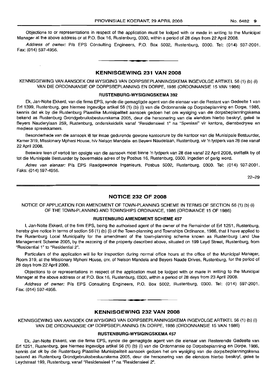Objections to or representations in respect of the application must be lodged with or made in writing to the Municipal Manager at the above address or at P.O. Box 16, Rustenburg, 0300, within a period of 28 days from 22 April 2008.

Address of owner: P/a EPS Consulting Engineers, P.O. Box 5002, Rustenburg, 0300. Tel: (014) 597-2001. Fax: (014) 597-4956.

#### **KENNISGEWING 231 VAN 2008**

**•**

KENNISGEWING VAN AANSOEK OM WYSIGING VAN DORPSBEPLANNINGSKEMA INGEVOLGE ARTIKEL 56 (1) (b) (i) VAN DIE ORDONNANSIE OP DORPSBEPLANNING EN DORPE, 1986 (ORDONNANSIE 15 VAN 1986)

#### **RUSTENBURG-WYSIGINGSKEMA 392**

Ek, Jan-Nolte Ekkerd, van die firma EPS, synde die gemagtigde agent van die eienaar van die Restant van Gedeelte 1 van Erf 1399, Rustenburg, gee hiermee ingevolge artikel 56 (1) (b) (i) van die Ordonnansie op Dorpsbeplanning en Dorpe, 1986, kennis dat ek by die Rustenburg Plaaslike Munisipaliteit aansoek gedoen het om wysiging van die dorpsbeplanningskema bekend as Rustenburg Grondgebruiksbestuurskema 2005, deur die hersonering van die eiendom hierbo beskryf, geleë te Beyers Nauderylaan 259, Rustenburg, onderskeidelik vanaf "Residensieel 1" na "Spesiaal" vir kantore, diensbedrywe en mediese spreekkamers.

Besonderhede van die aansoek lê ter insae gedurende gewone kantoorure by die kantoor van die Munisipale Bestuurder, Kamer 319, Missionary Mpheni House, hlv Nelson Mandela- en Beyers Naudelaan, Rustenburg, vir 'n tydperk van 28 dae vanaf 22 April 2008.

Besware teen of vertoë ten opsigte van die aansoek moet binne 'n tydperk van 28 dae vanaf 22 April 2008, skriftelik by of tot die Munisipale Bestuurder by bovermelde adres of by Posbus 16, Rustenburg, 0300, ingedien of gerig word.

Adres van eienaar: P/a EPS Raadgewende Ingenieurs, Posbus 5002, Rustenburg, 0300. Tel: (014) 597-2001. Faks: (014) 597-4956.

22-29

#### **NOTICE 232 OF 2008**

NOTICE OF APPLICATION FOR AMENDMENT OF TOWN-PLANNING SCHEME IN TERMS OF SECTION 56 (1) (b) (i) OF THE TOWN-PLANNING AND TOWNSHIPS ORDINANCE, 1986 (ORDINANCE 15 OF 1986)

#### **RUSTENBURG AMENDMENT SCHEME 457**

I, Jan-Nolte Ekkerd, of the firm EPS, being the authorised agent of the owner of the Remainder of Erf 1251, Rustenburg, hereby give notice in terms of section 56 (1) (b) (i) of the Town-planning and Townships Ordinance, 1986, that I have applied to the Rustenburg Local Municipality for the amendment of the town-planning scheme known as Rustenburg Land Use Management Scheme 2005, by the rezoning of the property described above, situated on 199 Leyd Street, Rustenburg, from "Residential 1" to "Residential 2".

Particulars of the application will lie for inspection during normal office hours at the office of the Municipal Manager, Room 319, at the Missionary Mpheni House, em. of Nelson Mandela and Beyers Naude Drives, Rustenburg, for the period of 28 days from 22 April 2008.

Objections to or representations in respect of the application must be lodged with or made in writing to the Municipal Manager at the above address or at P.O. Box 16, Rustenburg, 0300, within a period of 28 days from 23 April 2008.

Address of owner: PIa EPS Consulting Engineers, P.O. Box 5002, Rustenburg, 0300. Tel: (014) 597-2001. Fax: (014) 597-4956. .**-.**

**KENNISGEWING 232 VAN 2008**

KENNISGEWING VAN AANSOEK OM WYSIGING VAN DORPSBEPLANNINGSKEMA INGEVOLGE ARTIKEL 56 (1) (b) (i) VAN DIE ORDONNANSIE OP DORPSBEPLANNING EN DORPE, 1986 (ORDONNANSIE 15 VAN 1986)

#### **RUSTENBURG-WYSIGINGSKEMA 457**

Ek, Jan-Nolte Ekkerd, van die firma EPS, synde die gemagtigde agent van die eienaar van Resterende Gedeelte van Erf 1251, Rustenburg, gee hiermee ingevolge artikel 56 (1) (b) (i) van die Ordonnansie op Dorpsbeplanning en Darpe, 1986, kennis dat ek by die Rustenburg Plaaslike Munisipaliteit aansoek gedoen het om wysiging van die dorpsbeplanningskema bekend as Rustenburg Grondgebruiksbestuurskema 2005, deur die hersonering van die eiendom hierbo beskryf, geleë te Leydstraat 199, Rustenburg, vanaf "ResidensieeI1" na "Residensieel 2".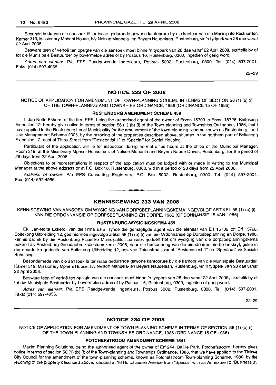Besonderhede van die aansoek lê ter insae gedurende gewone kantoorure by die kantoor van die Munisipale Bestuurder, Kamer 319, Missionary Mpheni House, h/v Nelson Mandela- en Beyers Naudelaan, Rustenburg, vir 'n tydperk van 28 dae vanaf 22 April 2008.

Besware teen of vertoë ten opsigte van die aansoek moet binne 'n tydperk van 28 dae vanaf 22 April 2008, skriftelik by of tot die Munisipale Bestuurder by bovermelde adres of by Posbus 16, Rustenburg, 0300, ingedien of gerig word.

Adres van eienaar: PIa EPS Raadgewende Ingenieurs, Posbus 5002, Rustenburg, 0300. Tel: (014) 597-2001. Faks: (014) 597-4956.

22-29

#### NOTICE 233 OF 2008

#### NOTICE OF APPLICATION FOR AMENDMENT OF TOWN-PLANNING SCHEME IN TERMS OF SECTION 56 (1) (b) (i) OF THE TOWN-PLANNING AND TOWNSHIPS ORDINANCE, 1986 (ORDINANCE 15 OF 1986)

#### RUSTENBURG AMENDMENT SCHEME 459

I, Jan-Nolte Ekkerd, of the firm EPS, being the authorised agent of the owner of Erven 15709 to Erven 15728, Boitekong Extension 12, hereby give notice in terms of section 56 (1) (b) (i) of the Town-planning and Townships Ordinance, 1986, that I have applied to the Rustenburg Local Municipality for the amendment of the town-planning scheme known as Rustenburg Land Use Management Scheme 2005, by the rezoning of the properties described above, situated in the northern part of Boitekong Extension 12, east of Thlou Street from "Residential 1" to "Special" for Social Housing.

Particulars of the application will lie for inspection during normal office hours at the office of the Municipal Manager, Room 319, at the Missionary Mpheni House, cnr. of Nelson Mandela and Beyers Naude Drives, Rustenburg, for the period of 28 days from 22 April 2008.

Objections to or representations in respect of the application must be lodged with or made in writing to the Municipal Manager at the above address or at P.O. Box 16, Rustenburg, 0300, within a period of 28 days from 22 April 2008.

Address of owner: PIa EPS Consulting Engineers, P.O. Box 5002, Rustenburg, 0300. Tel: (014) 597-2001. Fax: (014) 597-4956. .**- .**

#### KENNISGEWING 233 VAN 2008

KENNISGEWING VAN AANSOEK OM WYSIGING VAN DORPSBEPLANNINGSKEMA INGEVOLGE ARTIKEL 56 (1) (b) (i) VAN DIE ORDONNANSIE OP DORPSBEPLANNING EN DORPE, 1986 (ORDONNANSIE 15 VAN 1986)

#### RUSTENBURG-WYSIGINGSKEMA 459

Ek, Jan-Nolte Ekkerd, van die firma EPS, synde die gemagtigde agent van die eienaar van Erf 15709 tot Erf 15728, Boitekong Uitbreiding 12, gee hiermee ingevolge artikel 56 (1) (b) (i) van die Ordonnansie op Dorpsbeplanning en Dorpe, 1986, kennis dat ek by die Rustenburg Plaaslike Munisipaliteit aansoek gedoen het om wysiging van die dorpsbeplanningskema bekend as Rustenburg Grondgebruiksbestuurskema 2005, deur die hersonering van die eiendomme hierbo beskryf, geleë in die noordelike gedeelte van Boitekong Uitbreiding 12, oos van Thloustraat, vanaf "Residensieel 1" na "Spesiaal" vir Sosiale Behuising.

Besonderhede van die aansoek lê ter insae gedurende gewone kantoorure by die kantoor van die Munisipale Bestuurder, Kamer 319, Missionary Mpheni House, h/v Nelson Mandela- en Beyers Naudelaan, Rustenburg, vir 'n tydperk van 28 dae vanaf 22 April 2008.

Besware teen of vertoë ten opsigte van die aansoek moet binne 'n tydperk van 28 dae vanaf 22 April 2008, skriftelik by of tot die Munisipale Bestuurder by bovermelde adres of by Posbus 16, Rustenburg, 0300, ingedien of gerig word.

Adres van eienaar: P/a EPS Raadgewende Ingenieurs, Posbus 5002, Rustenburg, 0300. Tel: (014) 597-2001. Faks: (014) 597-4956.

22-29

#### NOTICE 234 OF 2008

NOTICE OF APPLICATION FOR AMENDMENT OF TOWN-PLANNING SCHEME IN TERMS OF SECTION 56 (1) (b) (i) OF THE TOWN-PLANNING AND TOWNSHIPS ORDINANCE, 1986 (ORDINANCE 15 OF 1986)

# POTCHEFSTROOM AMENDMENT SCHEME 1541

Maxim Planning Solutions, being the authorised agent of the owner of Erf 244, Baillie Park, Potchefstroom, hereby gives notice in terms of section 56 (1) (b) (i) of the Town-planning and Townships Ordinance, 1986, that we have applied to the Tlokwe City Council for the amendment of the town-planning scheme, known as Potchefstroom Town-planning Scheme, 1980, by the rezoning of the property described above, situated at 16 Holtzhausen Avenue from "Special" with an Annexure to "Business 3".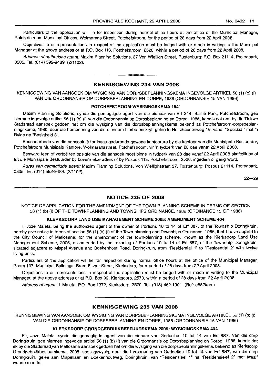Particulars of the application will lie for inspection during normal office hours at the office of the Municipal Manager, Potchefstroom Municipal Offices, Wolmarans Street, Potchefstroom, for the period of 28 days from 22 April 2008.

Objectives to or representations in respect of the application must be lodged with or made in writing to the Municipal Manager at the above address or at P.O. Box 113, Potchefstroom, 2520, within a period of 28 days from 22 April 2008.

Address of authorised agent: Maxim Planning Solutions, 37 Von Wielligh Street, Rustenburg; P.O. Box 21114, Proteapark, 0305. Tel. (014) 592-9489. (2/1102).

#### KENNISGEWING 234 VAN 2008

• **••**

KENNISGEWING VAN AANSOEK OM WYSIGING VAN DORPSBEPLANNINGSKEMA INGEVOLGE ARTIKEL 56 (1) (b) (i) VAN DIE ORDONNANSIE OP DORPSBEPLANNING EN DORPE, 1986 (ORDONNANSIE 15 VAN 1986)

#### POTCHEFSTROOM-WYSIGINGSKEMA 1541

Maxim Planning Solutions, synde die gemagtigde agent van die eienaar van Erf 244, Baillie Park, Potchefstroom, gee hiermee ingevolge artikel 56 (1) (b) (i) van die Ordonnansie op Dorpsbeplanning en Dorpe, 1986, kennis dat ons by die Tlokwe Stadsraad aansoek gedoen het om die wysiging van die dorpsbeplanningskema bekend as Potchefstroom-dorpsbeplanningskema, 1980, deur die hersonering van die eiendom hierbo beskryf, gelee te Holtzhausenweg 16, vanaf "Spesiaal" met 'n Bylae na "Besigheid 3".

Besonderhede van die aansoek lê ter insae gedurende gewone kantoorure by die kantoor van die Munisipale Bestuurder, Potchefstroom Munisipale Kantore, Wolmaransstraat, Potchefstroom, vir 'n tydperk van 28 dae vanaf 22 April 2008.

Besware teen of vertoë ten opsigte van die aansoek moet binne 'n tydperk van 28 dae vanaf 22 April 2008 skriftelik by of tot die Munisipale Bestuurder by bovermelde adres of by Posbus 113, Potchefstroom, 2520, ingedien of gerig word.

Adres van gemagtigde agent: Maxim Planning Solutions, Von Wiellighstraat 37, Rustenburg; Posbus 21114, Proteapark, 0305. Tel. (014) 592-9489. (2/1102).

 $22 - 29$ 

#### NOTICE 235 OF 2008

NOTICE OF APPLICATION FOR THE AMENDMENT OF THE TOWN-PLANNING SCHEME IN TERMS OF SECTION 56 (1) (b) (i) OF THE TOWN-PLANNING AND TOWNSHIPS ORDINANCE, 1986 (ORDINANCE 15 OF 1986)

#### KLERKSDORP LAND USE MANAGEMENT SCHEME 2005: AMENDMENT SCHEME 404

I, Joze Maleta, being the authorized agent of the owner of Portions 10 to 14 of Erf 887, of the Township Doringkruin, hereby give notice in terms of section 56 (1) (b) (i) of the Town-planning and Townships Ordinance, 1986, that I have applied to the City Council of Matlosana, for the amendment of the town-planning scheme, known as the Klerksdorp Land Use Management Scheme, 2005, as amended by the rezoning of Portions 10 to 14 of Erf 887, of the Township Doringkruin, situated adjacent to Mispel Avenue and Boekenhout Road, Doringkruin, from "Residential 1" to "Residential 2" with twelve living units.

Particulars of the application will lie for inspection during normal office hours at the office of the Municipal Manager, Room 107, Municipal Buildings, Bram Fisher Street, Klerksdorp, for a period of 28 days from 22 April 2008.

Objections to or representations in respect of the application must be lodged with or made in writing to the Municipal Manager, at the above address or at P.O. Box 99, Klerksdorp, 2570, within a period of 28 days from 22 April 2008.

Address of agent: J. Maleta, P.O. Box 1372, Klerksdorp, 2570. Tel. (018) 462-1991. (Ref: e887ken.)

#### KENNISGEWING 235 VAN 2008

.**-.**

KENNISGEWING VAN AANSOEK OM WYSIGING VAN DORPSBEPLANNINGSKEMA INGEVOLGE ARTIKEL 56 (1) (b) (i) VAN DIE ORDONNANSIE OP DORPSBEPLANNING EN DORPE, 1986 (ORDONNANSIE 15 VAN 1986)

#### KLERKSDORP GRONDGEBRUIKBESTUURSKEMA 2005: WYSIGINGSKEMA 404

Ek, Joze Maleta, synde die gemagtigde agent van die eienaar van Gedeeltes 10 tot 14 van Erf 887, van die dorp Doringkruin, gee hiermee ingevolge artikel 56 (1) (b) (i) van die Ordonnansie op Dorpsbeplanning en Dorpe, 1986, kennis dat ek by die Stadsraadvan Matlosana aansoek gedoen het om die wysiging van die dorpsbeplanningskema, bekend as Klerksdorp Grondgebruikbestuurskema, 2005, soos gewysig, deur die hersonering van Gedeeltes 10 tot 14 van Erf 887, van die dorp Doringkruin, geleë aan Mispellaan en Boekenhoutweg, Doringkruin, van "Residensieel 1" na "Residensieel 2" met twaalf wooneenhede.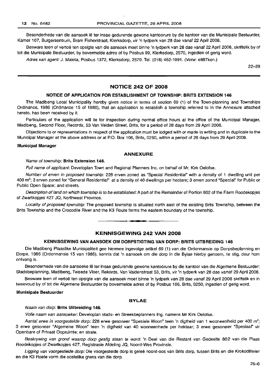Besonderhede van die aansoek Ie ter insae gedurende gewone kantoorure by die kantoor van die Munisipale Bestuurder, Kamer 107, Burgersentrum, Bram Fisherstraat, Klerksdorp, vir 'n tydperk van 28 dae vanaf 22 April 2008.

Besware teen of vertoë ten opsigte van die aansoek moet binne 'n tydperk van 28 dae vanaf 22 April 2008, skriftelik by of tot die Munisipale Bestuurder, by bovermelde adres of by Posbus 99, Klerksdorp, 2570, ingedien of gerig word.

Adres van agent: J. Maleta, Posbus 1372, Klerksdorp, 2570. Tel. (018) 462-1991. (Verw: e887ken.)

22-29

# **NOTICE 242 OF 2008**

#### **NOTICE OF APPLICATION FOR ESTABLISHMENT OF TOWNSHIP: BRITS EXTENSION 146**

The Madibeng Local Municipality hereby gives notice in terms of section 69 (1) of the Town-planning and Townships Ordinance, 1986 (Ordinance 15 of 1986), that an application to establish a township referred to in the Annexure attached hereto, has been received by it.

Particulars of the application will lie for inspection during normal office hours at the office of the Municipal Manager, Madibeng, Second Floor, Records, 53 Van Velden Street, Brits, for a period of 28 days from 29 April 2008.

Objections to or representations in respect of the application must be lodged with or made in writing and in duplicate to the Municipal Manager at the above address or at P.O. Box 106, Brits, 0250, within a period of 28 days from 29 April 2008.

#### **Municipal Manager**

#### **ANNEXURE**

#### Name of township: **Brits Extension 146.**

Full name of applicant: Developlan Town and Regional Planners Inc. on behalf of Mr. Kirk Oelofse.

Number of erven in proposed township: 228 erven zoned as "Special Residential" with a density of 1 dwelling unit per 400  $m^2$ ; 3 erven zoned for "General Residential" at a density of 40 dwellings per hectare; 3 erven zoned "Special" for Public or Public Open Space; and streets.

Description of land on which township is to be established: A part of the Remainder of Portion 802 of the Farm Roodekopjes of Zwartkopjes 427 JQ, Northwest Province.

Locality of proposed township: The proposed township is situated north east of the existing Brits Township, between the Brits Township and the Crocodile River and the K3 Route forms the eastern boundary of the township .

# **KENNISGEWING 242 VAN 2008**

**• I**

## **KENNISGEWING VAN AANSOEK OM DORPSTIGTING VAN DORP: BRITS UITBREIDING 146**

Die Madibeng Plaaslike Munisipaliteit gee hiermee ingevolge artikel 69 (1) van die Ordonnansie op Dorpsbeplanning en Dorpe, 1986 (Ordonnansie 15 van 1986), kennis dat 'n aansoek om die dorp in die Bylae hierby genoem, te stig, deur hom ontvang is.

Besonderhede van die aansoeke Iê ter insae gedurende gewone kantoorure by die kantoor van die Algemene Bestuurder: Stadsbeplanning, Madibeng, Tweede Vloer, Rekords, Van Valdenstraat 53, Brits, vir 'n tydperk van 28 dae vanaf 29 April 2008.

Besware teen of vertoë ten opsigte van die aansoek moet binne 'n tydperk van 28 dae vanaf 29 April 2008 skriftelik en in tweevoud by of tot die Aigemene Bestuurder by bovermelde adres of by Posbus 106, Brits, 0250, ingedien of gerig word.

#### **Munisipale Bestuurder**

#### **BYLAE**

#### Naam van dorp: **Brits Uitbreiding 146.**

Volle naam van aansoeker: Developlan stads- en Streekbeplanners Ing. namens Mr Kirk Oelofse.

Aantal erwe in voorgestelde dorp: 228 erwe gesoneer "Spesiale Woon" teen 'n digtheid van 1 wooneenheid per 400 m<sup>2</sup>; 3 erwe gesoneer "Algemene Woon" teen 'n digtheid van 40 wooneenhede per hektaar; 3 erwe gesoneer "Spesiaal" vir Openbare of Privaat Oopruimte; en strate.

Beskrywing van grond waarop dorp gestig staan te word: 'n Deel van die Restant van Gedeelte 802 van die Plaas Roodekopjes of Zwartkopjes 427, Registrasie Afdeling JQ, Noord-Wes Provinsie.

Ligging van voorgestelde dorp: Die voorgestelde dorp is geleë noord-oos van Brits dorp, tussen Brits en die Krokodilrivier en die K3 Roete vorm die oostelike grens *van* die dorp.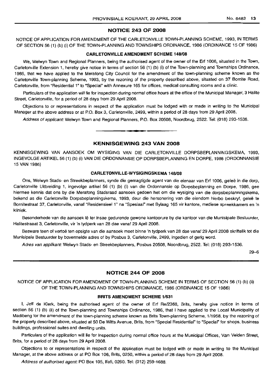#### NOTICE 243 OF 2008

NOTICE OF APPLICATION FOR AMENDMENT OF THE CARLETONVILLE TOWN-PLANNING SCHEME, 1993, IN TERMS OF SECTION 56 (1) (b) (i) OF THE TOWN-PLANNING AND TOWNSHIPS ORDINANCE, 1986 (ORDINANCE 15 OF 1986)

#### CARLETONVILLE AMENDMENT SCHEME 148/08

We, Welwyn Town and Regional Planners, being the authorised agent of the owner of the Erf 1006, situated in the Town, Carletonville Extension 1, hereby give notice in terms of section 56 (1) (b) (i) of the Town-planning and Townships Ordinance, 1986, that we have applied to the Merafong City Council for the amendment of the town-planning scheme known as the Carletonville Town-planning Scheme, 1993, by the rezoning of the property described above, situated on 37 Bornite Road, Carletonville, from "Residential 1" to "Special" with Annexure 165 for offices, medical consulting rooms and a clinic.

Particulars of the application will lie for inspection during normal office hours at the office of the Municipal Manager, 3 Halite Street, Carletonville, for a period of 28 days from 29 April 2008.

Objections to or representations in respect of the application must be lodged with or made in writing to the Municipal Manager at the above address or at P.O. Box 3, Carletonville, 2499, within a period of 28 days from 29 April 2008.

Address of applicant: Welwyn Town and Regional Planners, P.O. Box 20508, Noordbrug, 2522. Tel: (018) 293-1536.

**-**

## KENNISGEWING 243 VAN 2008

KENNISGEWING VAN AANSOEK OM WYSIGING VAN DIE CARLETONVILLE DORPSBEPLANNINGSKEMA, 1993, INGEVOLGE ARTIKEL 56 (1) (b) (i) VAN DIE ORDONNANSIE OP DORPSBEPLANNING EN DORPE, 1986 (ORDONNANSIE 15 VAN 1986)

#### CARLETONVILLE-WYSIGINGSKEMA 148/08

Ons, Welwyn Stads- en Streekbeplanners, synde die gemagtigde agent van die eienaar van Erf 1006, gelee in die dorp, Carletonville Uitbreiding 1, ingevolge artikel 56 (1) (b) (i) van die Ordonnansie op Dorpsbeplanning en Dorpe, 1986, gee hiermee kennis dat ons by die Merafong Stadsraad aansoek gedoen het om die wysiging van die dorpsbeplanningskema, bekend as die Carletonville Dorpsbeplanningskema, 1993, deur die hersonering van die eiendom hierbo beskryf, geleë te Bornitestraat 37, Carletonville, vanaf "ResidensieeI1" na "Spesiaal" met Bylaag 165 vir kantore, mediese spreekkamers en 'n kliniek.

Besonderhede van die aansoek lê ter insae gedurende gewone kantoorure by die kantoor van die Munisipale Bestuurder, Halitestraaat 3, Carletonville, vir 'n tydperk van 28 dae vanaf 29 April 2008.

Besware teen of vertoë ten opsigte van die aansoek moet binne 'n tydperk van 28 dae vanaf 29 April 2008 skriftelik tot die Munisipale Bestuurder by bovermelde adres of by Posbus 3, Carletonville, 2499, ingedien of gerig word.

Adres van applikant: Welwyn Stads- en Streekbeplanners, Posbus 20508, Noordbrug, 2522. Tel: (018) 293-1536.

29-6

### NOTICE 244 OF 2008

NOTICE OF APPLICATION FOR AMENDMENT OF TOWN-PLANNING SCHEME IN TERMS OF SECTION 56 (1) (b) (ii) OF THE TOWN-PLANNING AND TOWNSHIPS ORDINANCE, 1986 (ORDINANCE 15 OF 1986)

#### BRITS AMENDMENT SCHEME 1/531

I, Jeff de Klerk, being the authorised agent of the owner of Erf Re/2368, Brits, hereby give notice in terms of section 56 (1) (b) (ii) of the Town-planning and Townships Ordinance, 1986, that I have applied to the Local Municipality of Madibeng for the amendment of the town-planning scheme known as Brits Town-planning Scheme, 1/1958, by the rezoning of the property described above, situated at 50 De Witts Avenue, Brits, from "Special Residential" to "Special" for shops, business buildings, professional suites and dwelling units.

Particulars of the application will lie for inspection during normal office hours at the Municipal Offices, Van Velden Street, Brits, for a period of 28 days from 29 April 2008.

Objections to or representations in respect of the application must be lodged with or made in writing to the Municipal Manager, at the above address or at PO Box 106, Brits, 0250, within a period of 28 days from 29 April 2008.

Address of authorised agent: PO Box 105, Ifafi, 0260. Tel: (012) 259-1688.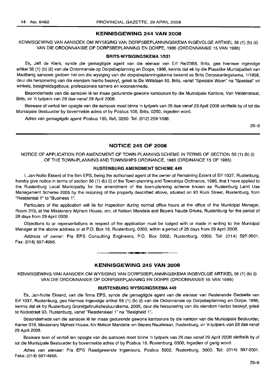#### KENNISGEWING 244 VAN 2008

KENNISGEWING VAN AANSOEK OM WYSIGING VAN DORPSBEPLANNINGSKEMA INGEVOLGE ARTIKEL 56 (1) (b) (ii) VAN DIE ORDONNANSIE OP DORPSBEPLANNING EN DORPE, 1986 (ORDONNANSIE 15 VAN 1986)

#### BRITS-WYSIGINGSKEMA 1/531

Ek, Jeff de Klerk, synde pie gemagtigde agent van die eienaar van Erf Re/2368, Brits, gee hiermee ingevolge artikel 56 (1) (b) (ii) van die Ordonnansie op Dorpsbeplanning en Dorpe, 1986, kennis dat ek by die Plaaslike Munisipaliteit van Madibeng aansoek gedoen het om die wysiging van die dorpsbeplanningskema bekend as Brits Dorpsaanlegskema, 1/1958, deur die hersonering van die eiendom hierbo beskryf, gelee te De Wittslaan 50, Brits, vanaf "Spesiale Woon" na "Spesiaal" vir winkels, besigheidsgeboue, professionele kamers en wooneenhede.

Besonderhede van die aansoek Ie ter insae gedurende gewone kantoorure by die Munisipale Kantore, Van Veldenstraat, Brits, vir 'n tydperk van 28 dae vanaf 29 April 2008.

Besware of vertoë ten opsigte van die aansoek moet binne 'n tydperk van 28 dae vanaf 29 April 2008 skriftelik by of tot die Munisipale Bestuurder by bovermelde adres of by Posbus 106, Brits, 0250, ingedien word.

Adres van gemagtigde agent: Posbus 105, Ifafi, 0260. Tel: (012) 259-1688.

29-6

# NOTICE 245 OF 2008

NOTICE OF APPLICATION FOR AMENDMENT OF TOWN-PLANNING SCHEME IN TERMS OF SECTION 56 (1) (b) (i) OF THE TOWN-PLANNING AND TOWNSHIPS ORDINANCE, 1986 (ORDINANCE 15 OF 1986)

### RUSTENBLIRG AMENDMENT SCHEME 449

I, Jan-Nolte Ekkerd of the firm EPS, being the authorised agent of the owner of Remaining Extent of Erf 1037, Rustenburg, hereby give notice in terms of section 56 (1) (b) (i) of the Town-planning and Townships Ordinance, 1986, that I have applied to the Rustenburg Local Municipality for the amendment of the town-planning scheme known as Rustenburg Land Use Management Scheme 2005 by the rezoning of the property described above, situated on 93 Kock Street, Rustenburg, from "Residential 1" to "Business 1".

Particulars of the application will lie for inspection during normal office hours at the office of the Municipal Manager, Room 319, at the Missionary Mpheni House, cnr, of Nelson Mandela and Beyers Naude Drives, Rustenburg for the period of 28 days from 29 April 2008.

Objections to or representations in respect of the application must be lodged with or made in writing to the Municipal Manager at the above address or at P.O. Box 16, Rustenburg, 0300, within a period of 28 days from 29 April 2008.

Address of owner: PIa EPS Consulting Engineers, P.O. Box 5002, Rustenburg, 0300. Tel: (014) 597-2001. Fax: (014) 597-4956.

#### KENNISGEWING 245 VAN 2008

I **• I**

KENNISGEWING VAN AANSOEK OM WYSIGING VAN DORPSBEPLANNINGSKEMA INGEVOLGE ARTIKEL 56 (1) (b) (i) VAN DIE ORDONNANSIE OP DORPSBEPLANNING EN DORPE (ORDONNANSIE 15 VAN 1986)

#### RUSTENBURG WVSIGINGSKEMA 449

Ek, Jan-Nolte Ekkerd, van die firma EPS, synde die gemagtigde agent van die eienaar van Resterende Gedeelte van Erf 1037, Rustenburg, gee hiermee ingevolge artikel 56 (1) (b) (i) van die Ordonnansie op Dorpsbeplanning en Dorpe, 1986, kennis dat ek by Rustenburg Grondgebruiksbestuurskema, 2005, deur die hersonering van die eiendom hierbo beskryf, gelee te Kockstraat 93, Rustenburg, vanaf "Residensieel 1" na "Besigheid 1".

Besonderhede van die aansoek Ie ter insae gedurende gewone kantoorure by die kantoor van die Munisipale Bestuurder, Kamer 319, Missionary Mpheni House, h/v Nelson Mandela- en Beyers Naudelaan, Rustenburg, vir 'n tydperk van 28 dae vanaf 29 April 2008.

Besware teen of vertoë ten opsigte van die aansoek moet binne 'n tydperk van 28 dae vanaf 29 April 2008 skriftelik by of tot die Munisipale Bestuurder by bovermelde adres of by Posbus 16, Rustenburg, 0300, ingedien of gerig word.

Adres van eienaar: P/a EPS Raadgewende Ingenieurs, Posbus 5002, Rustenburg, 3000. Tel: (014) 597-2001. Faks: (014) 597-4956.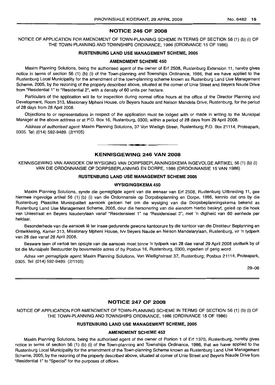#### NOTICE 246 OF 2008

NOTICE OF APPLICATION FOR AMENDMENT OF TOWN-PLANNING SCHEME IN TERMS OF SECTION 56 (1) (b) (i) OF THE TOWN-PLANNING AND TOWNSHIPS ORDINANCE, 1986 (ORDINANCE 15 OF 1986)

#### RUSTENBURG LAND USE MANAGEMENT SCHEME, 2005

#### AMENDMENT SCHEME 450

Maxim Planning Solutions, being the authorised agent of the owner of Erf 2508, Rustenburg Extension 11, hereby gives notice in terms of section 56 (1) (b) (i) of the Town-planning and Townships Ordinance, 1986, that we have applied to the Rustenburg Local Municipality for the amendment of the town-planning scheme known as Rustenburg Land Use Management Scheme, 2005, by the rezoning of the property described above, situated at the corner of Unie Street and Beyers Naude Drive from "Residential 1" to "Residential 2", with a density of 60 units per hectare.

Particulars of the application will lie for inspection during normal office hours at the office of the Director Planning and Development, Room 313, Missionary Mpheni House, c/o Beyers Naude and Nelson Mandela Drive, Rustenburg, for the period of 28 days from 28 April 2008.

Objections to or representations in respect of the application must be lodged with or made in writing to the Municipal Manager at the above address or at P.O. Box 16, Rustenburg, 0300, within a period of 28 days from 29 April 2008.

Address of authorised agent: Maxim Planning Solutions, 37 Von Wielligh Street, Rustenburg; P.O. Box 21114, Proteapark, 0305. Tel: (014) 592-9489. (2/1105)

#### **-** KENNISGEWING <sup>246</sup> VAN <sup>2008</sup>

KENNISGEWING VAN AANSOEK OM WYSIGING VAN DORPSBEPLANNINGSKEMA INGEVOLGE ARTIKEL 56 (1) (b) (i) VAN DIE ORDONNANSIE OP DORPSBEPLANNING EN DORPE, 1986 (ORDONNANSIE 15 VAN 1986)

#### RUSTENBURG LAND USE MANAGEMENT SCHEME 2005

#### WYSIGINGSKEMA 450

Maxim Planning Solutions, synde die gemagtigde agent van die eienaar van Erf 2508, Rustenburg Uitbreiding 11, gee hiermee ingevolge artikel 56 (1) (b) (i) van die Ordonnansie op Dorpsbeplanning en Dorpe, 1986, kennis dat ons by die Rustenburg Plaaslike Munisipaliteit aansoek gedoen het om die wysiging van die Dorpsbeplanningskema bekend as Rustenburg Land Use Management Scheme, 2005, deur die hersonering van die eiendom hierbo beskryf, gelee op die hoek van Uniestraat en Beyers Nauderylaan vanaf "Residensieel 1" na "Residensieel 2", met 'n digtheid van 60 eenhede per hektaar.

Besonderhede van die aansoek lê ter insae gedurende gewone kantoorure by die kantoor van die Direkteur Beplanning en Ontwikkeling, Kamer 313, Missionary Mpheni House, h/v Beyers Naude en Nelson Mandelarylaan, Rustenburg, vir 'n tydperk van 28 dae vanaf 28 April 2008.

Besware teen of vertoë ten opsigte van die aansoek moet binne 'n tydperk van 28 dae vanaf 29 April 2008 skriftelik by of tot die Munisipale Bestuurder by bovermelde adres of by Posbus 16, Rustenburg, 0300, ingedien of gerig word.

Adres van gemagtigde agent: Maxim Planning Solutions, Von Wiellighstraat 37, Rustenburg; Posbus 21114, Proteapark, 0305. Tel; (014) 592-9489. (2/1105)

29-06

#### NOTICE 247 OF 2008

NOTICE OF APPLICATION FOR AMENDMENT OF TOWN-PLANNING SCHEME IN TERMS OF SECTION 56 (1) (b) (i) OF THE TOWN-PLANNING AND TOWNSHIPS ORDINANCE, 1986 (ORDINANCE 15 OF 1986)

#### RUSTENBURG LAND USE MANAGEMENT SCHEME, 2005

#### AMENDMENT SCHEME 452

Maxim Planning Solutions, being the authorised agent of the owner of Portion 1 of Erf 1370, Rustenburg, hereby gives notice in terms of section 56 (1) (b) (i) of the Town-planning and Townships Ordinance, 1986, that we have applied to the Rustenburg Local Municipality for the amendment of the Town-planning Scheme known as Rustenburg Land Use Management Scheme, 2005, by the rezoning of the property described above, situated at corner of Unie Street and Beyers Naude Drive from "Residential 1" to "Special" for the purposes of offices.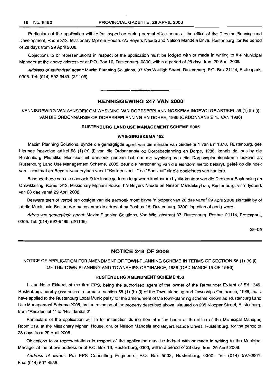Particulars of the application will lie for inspection during normal office hours at the office of the Director Planning and Development, Room 313, Missionary Mpheni House, clo Beyers Naude and Nelson Mandela Drive, Rustenburg, for the period of 28 days from 29 April 2008.

Objections to or representations in respect of the application must be lodged with or made in writing to the Municipal Manager at the above address or at P.O. Box 16, Rustenburg, 0300, within a period of 28 days from 29 April 2008.

Address of authorised agent: Maxim Planning Solutions, 37 Von Wielligh Street, Rustenburg; P.O. Box 21114, Proteapark, 0305. Tel: (014) 592-9489. (2/1106)

#### KENNISGEWING 247 VAN 2008

**••**

KENNISGEWING VAN AANSOEK OM WYSIGING VAN DORPSBEPLANNINGSKEMA INGEVOLGE ARTIKEL 56 (1) (b) (i) VAN DIE ORDONNANSIE OP DORPSBEPLANNING EN DORPE, 1986 (ORDONNANSIE 15 VAN 1986)

#### RUSTENBURG LAND USE MANAGEMENT SCHEME 2005

#### WVSIGINGSKEMA 452

Maxim Planning Solutions, synde die gemagtigde agent van die eienaar van Gedeelte 1 van Erf 1370, Rustenburg, gee hiermee ingevolge artikel 56 (1) (b) (i) van die Ordonnansie op Dorpsbeplanning en Dorpe, 1986, kennis dat ons by die Rustenburg Plaaslike Munisipaliteit aansoek gedoen het om die wysiging van die Dorpsbeplanningskema bekend as Rustenburg Land Use Management Scheme, 2005, deur die hersonering van die eiendom hierbo beskryf, gelee op die hoek van Uniestraat en Beyers Nauderylaan vanaf "Residensieel 1" na "Spesiaal" vir die doeleindes van kantore.

Besonderhede van die aansoek lê ter insae gedurende gewone kantoorure by die kantoor van die Direkteur Beplanning en Ontwikkeling, Kamer 313, Missionary Mpheni House, h/v Beyers Naude en Nelson Mandelarylaan, Rustenburg, vir 'n tydperk van 28 dae vanaf 29 April 2008.

Besware teen of vertoë ten opsigte van die aansoek moet binne 'n tydperk van 28 dae vanaf 29 April 2008 skriftelik by of tot die Munisipale Bestuurder by bovermelde adres of by Posbus 16, Rustenburg, 0300, ingedien of gerig word.

Adres van gemagtigde agent: Maxim Planning Solutions, Von Wiellighstraat 37, Rustenburg; Posbus 21114, Proteapark, 0305. Tel: (014) 592-9489. (2/1106)

29-06

# NOTICE 248 OF 2008

NOTICE OF APPLICATION FOR AMENDMENT OF TOWN-PLANNING SCHEME IN TERMS OF SECTION 56 (1) (b) (i) OF THE TOWN-PLANNING AND TOWNSHIPS ORDINANCE, 1986 (ORDINANCE 15 OF 1986)

#### RUSTENBURG AMENDMENT SCHEME 458

I, Jan-Nolte Ekkerd, of the firm EPS, being the authorised agent of the owner of the Remainder Extent of Erf 1349, Rustenburg, hereby give notice in terms of section 56 (1) (b) (i) of the Town-planning and Townships Ordinance, 1986, that I have applied to the Rustenburg Local Municipality for the amendment of the town-planning scheme known as Rustenburg Land Use Management Scheme 2005, by the rezoning of the property described above, situated on 235 Klopper Street, Rustenburg, from "Residential 1" to "Residential 2".

Particulars of the application will lie for inspection during normal office hours at the office of the Municipal Manager, Room 319, at the Missionary Mpheni House, cnr, of Nelson Mandela and Beyers Naude Drives, Rustenburg, for the period of 28 days from 29 April 2008.

Objections to or representations in respect of the application must be lodged with or made in writing to the Municipal Manager at the above address or at P.O. Box 16, Rustenburg, 0300, within a period of 28 days from 29 April 2008.

Address of owner: Pia EPS Consulting Engineers, P.O. Box 5002, Rustenburg, 0300. Tel: (014) 597-2001. Fax: (014) 597-4956.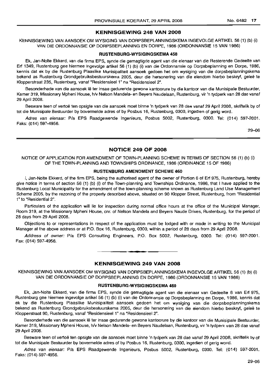#### **KENNISGEWING 248 VAN 2008**

KENNISGEWING VAN AANSOEK OM WYSIGING VAN DORPSBEPLANNINGSKEMA INGEVOLGE ARTIKEL 56 (1) (b) (i) VAN DIE ORDONNANSIE OP DORPSBEPLANNING EN DORPE, 1986 (ORDONNANSIE 15 VAN 1986)

#### **RUSTENBURG-WYSIGINGSKEMA 458**

Ek, Jan-Nolte Ekkerd, van die firma EPS, synde die gemagtigde agent van die eienaar van die Resterende Gedeelte van Erf 1349, Rustenburg gee hiermee ingevolge artikel 56 (1) (b) (i) van die Ordonnansie op Dorpsbeplanning en Dorpe, 1986, kennis dat ek by die Rustenburg Plaaslike Munisipaliteit aansoek gedoen het om wysiging van die dorpsbeplanningskema bekend as Rustenburg Grondgebruiksbestuurskema 2005, deur die hersonering van die eiendom hierbo beskryf, geleë te Klopperstraat 235, Rustenburg, vanaf "Residensieel 1" na "Residensieel 2".

Besonderhede van die aansoek Ie ter insae gedurende gewone kantoorure by die kantoor van die Munisipale Bestuurder, Kamer 319, Missionary Mpheni House, h/v Nelson Mandela- en Beyers Naudelaan, Rustenburg, vir 'n tydperk van 28 dae vanaf 29 April 2008.

Besware teen of vertoë ten opsigte van die aansoek moet binne 'n tydperk van 28 dae vanaf 29 April 2008, skriftelik by of tot die Munisipale Bestuurder by bovermelde adres of by Posbus 16, Rustenburg, 0300, ingedien of gerig word.

Adres van eienaar: P/a EPS Raadgewende Ingenieurs, Posbus 5002, Rustenburg, 0300. Tel: (014) 597-2001. Faks: (014) 597-4956.

·29-06

# **NOTICE 249 OF 2008**

NOTICE OF APPLICATION FOR AMENDMENT OF TOWN-PLANNING SCHEME IN TERMS OF SECTION 56 (1) (b) (i) OF THE TOWN-PLANNING AND TOWNSHIPS ORDINANCE, 1986 (ORDINANCE 15 OF 1986)

#### **RUSTENBURG AMENDMENT SCHEME 460**

I, Jan-Nolte Ekkerd, of the firm EPS, being the authorised agent of the owner of Portion 6 of Erf 975, Rustenburg, hereby give notice in terms of section 56 (1) (b) (i) of the Town-planning and Townships Ordinance, 1986, that I have applied to the Rustenburg Local Municipality for the amendment of the town-planning scheme known as Rustenburg Land Use Management Scheme 2005, by the rezoning of the property described above, situated on 90 Klopper Street, Rustenburg, from "Residential 1" to "Residential 2".

Particulars of the application will lie for inspection during normal office hours at the office of the Municipal Manager, Room 319, at the Missionary Mpheni House, cnr. of Nelson Mandela and Beyers Naude Drives, Rustenburg, for the period of 28 days from 29 April 2008.

Objections to or representations in respect of the application must be lodged with or made in writing to the Municipal Manager at the above address or at P.O. Box 16, Rustenburg, 0300, within a period of 28 days from 29 April 2008.

Address of owner: PIa EPS Consulting Engineers, P.O. Box 5002, Rustenburg, 0300. Tel: (014) 597-2001. Fax: (014) 597-4956.

## **KENNISGEWING 249 VAN 2008**

• **- I**

KENNISGEWING VAN AANSOEK OM WYSIGING VAN DORPSBEPLANNINGSKEMA INGEVOLGE ARTIKEL 56 (1) (b) (i) VAN DIE ORDONNANSIE OP DORPSBEPLANNING EN DORPE, 1986 (ORDONNANSIE 15 VAN 1986)

#### **RUSTENBURG-WYSIGINGSKEMA 460**

Ek, Jan-Nolte Ekkerd, van die firma EPS, synde die gemagtigde agent van die eienaar van Gedeelte 6 van Erf 975, Rustenburg gee hiermee ingevolge artikel 56 (1) (b) (i) van die Ordonnansie op Dorpsbeplanning en Dorpe, 1986, kennis dat ek by die Rustenburg Plaaslike Munisipaliteit aansoek gedoen het om wysiging van die dorpsbeplanningskema bekend as Rustenburg Grondgebruiksbestuurskema 2005, deur die hersonering van die eiendom hierbo beskryf, geleë te Klopperstraat 90, Rustenburg, vanaf "Residensieel 1" na "Residensieel 2".

Besonderhede van die aansoek lê ter insae gedurende gewone kantoorure by die kantoor van die Munisipale Bestuurder, Kamer 319, Missionary Mpheni House, h/v Nelson Mandela- en Beyers Naudelaan, Rustenburg, vir 'n tydperk van 28 dae vanaf 29 April 2008.

Besware teen of vertoe ten opsigte van die aansoek moet binne 'n tydperk van 28 dae vanaf 29 April 200B, skriftelik by of tot die Munisipale Bestuurder by bovermelde adres of by Posbus 16, Rustenburg, 0300, ingedien of gerig word.

Adres van eienaar: P/a EPS Raadgewende Ingenieurs, Posbus 5002, Rustenburg, 0300. Tel: (014) 597-2001. Faks: (014) 597-4956.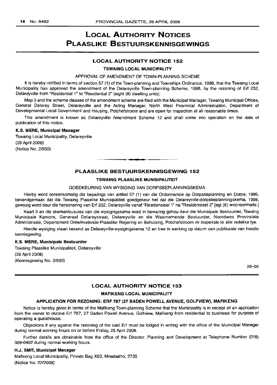# LOCAL AUTHORITY NOTICES PLAASLIKE BESTUURSKENNISGEWINGS

## LOCAL AUTHORITY NOTICE 152

#### TSWAING LOCAL MUNICIPALITY

#### APPROVAL OF AMENDMENT OF TOWN-PLANNING SCHEME

It is hereby notified in terms of section 57 (1) of the Town-planning and Townships Ordinance, 1986, that the Tswaing Local Municipality has approved the amendment of the Delareyville Town-planning Scheme, 1998, by the rezoning of Erf 232, Delareyville from "Residential 1" to "Residential 2" [eight (8) dwelling units].

Map 3 and the scheme clauses of the amendment scheme are filed with the Municipal Manager, Tswaing Municipal Offices, General Delarey Street, Delareyville and the Acting Manager, North West Provincial Administration, Department of Developmental Local Government and Housing, Potchefstroom and are open for inspection at all reasonable times.

This amendment is known as Delareyville Amendment Scheme 12 and shall come into operation on the date of publication of this notice.

# K.S. MERE, Municipal Manager

Tswaing Local Municipality, Delareyville (29 April 2008) (Notice No. 2/930)

# PLAASLIKE BESTUURSKENNISGEWING 152

.**-.**

#### TSWAING PLAASLIKE MUNISIPALITEIT

#### GOEDKEURING VAN WYSIGING VAN DORPSBEPLANNINGSKEMA

Hierby word ooreenkomstig die bepalings van artikel 57 (1) van die Ordonnansie op Dorpsbeplanning en Dorpe, 1986, bekendgemaak dat die Tswaing Plaaslike Munisipaliteit goedgekeur het dat die Delareyville-dorpsbeplanningskema, 1998, gewysig word deur die hersonering van Erf 232, Delareyville vanaf "Residensieel 1" na "Residensieel 2" [agt (8) wooneenhede.]

Kaart 3 en die skemaklousules van die wysigingskema word in bewaring gehou deur die Munisipale Bestuurder, Tswaing Munisipale Kantore, Generaal Delareystraat, Delareyville en die Waarnemende Bestuurder, Noordwes Provinsiale Administrasie, Departement Ontwikkelende Plaaslike Regering en Behuising, Potchefstroom vir inspeksie te aile redelike tye.

Hierdie wysiging staan bekend as Delareyville-wysigingskema 12 en tree in werking op datum van publikasie van hierdie kennisgewing.

#### K.S. MERE, Munisipale Bestuurder

Tswaing Plaaslike Munisipaliteit, Delareyville (29 April 2008) (Kennisgewing No. 2/930)

29-06

# LOCAL AUTHORITY NOTICE 153

#### MAFIKENG LOCAL MUNICIPALITY

#### APPLICATION FOR REZONING: ERF 787 (27 BADEN POWELL AVENUE, GOLFVIEW), MAFIKENG

Notice is hereby given in terms of the Mafikeng Town-planning Scheme that the Municipality is in receipt of an application from the owner to rezone Erf 787, 27 Baden Powell Avenue, Golfview, Mafikeng from residential to business for purpose of operating a guesthouse.

Objections if any against the rezoning of the said Erf must be lodged in writing with the office of the Municipal Manager during normal working hours on or before Friday, 25 April 2008.

Further details are obtainable from the office of the Director: Planning and Development at Telephone Number (018) 389-0462 during normal working hours.

#### H.J. SMIT, Municipal Manager

Mafikeng Local Municipality, Private Bag X63, Mmabatho, 2735 (Notice No. 22/2008)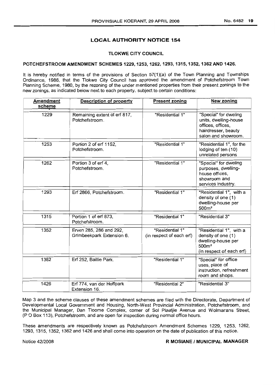# LOCAL AUTHORITY NOTICE 154

# TLOKWE CITY COUNCIL

#### POTCHEFSTROOM AMENDMENT SCHEMES 1229, 1253, 1262, 1293, 1315, 1352, 1362 AND 1426.

It is hereby notified in terms of the provisions of Section 57(1)(a) of the Town Planning and Townships Ordinance, 1986, that the Tlokwe City Council has approved the amendment of Potchefstroom Town Planning Scheme, 1980, by the rezoning of the under mentioned properties from their present zonings to the new zonings, as indicated below next to each property, subject to certain conditions:

| <b>Amendment</b><br>scheme | <b>Description of property</b>                       | <b>Present zoning</b>                       | <b>New zoning</b>                                                                                                    |
|----------------------------|------------------------------------------------------|---------------------------------------------|----------------------------------------------------------------------------------------------------------------------|
| 1229                       | Remaining extent of erf 817,<br>Potchefstroom.       | "Residential 1"                             | "Special" for dweling<br>units, dwelling-house<br>offices, offices,<br>hairdresser, beauty<br>salon and showroom.    |
| 1253                       | Portion 2 of erf 1152,<br>Potchefstroom.             | "Residential 1"                             | "Residential 1", for the<br>lodging of ten (10)<br>unrelated persons                                                 |
| 1262                       | Portion 3 of erf 4,<br>Potchefstroom.                | "Residential 1"                             | "Special" for dweling<br>purposes, dwelling-<br>house offices,<br>showroom and<br>services industry.                 |
| 1293                       | Erf 2866, Potchefstroom.                             | "Residential 1"                             | "Residential 1", with a<br>density of one (1)<br>dwelling-house per<br>500m <sup>2</sup>                             |
| 1315                       | Portion 1 of erf 873,<br>Potchefstroom.              | "Residential 1"                             | "Residential 3"                                                                                                      |
| 1352                       | Erven 285, 286 and 292,<br>Grimbeekpark Extension 6. | "Residential 1"<br>(in respect of each erf) | "Residential 1", with a<br>density of one (1)<br>dwelling-house per<br>500m <sup>2</sup><br>(in respect of each erf) |
| 1362                       | Erf 252, Baillie Park.                               | "Residential 1"                             | "Special" for office<br>uses, place of<br>instruction, refreshment<br>room and shops.                                |
| 1426                       | Erf 774, van der Hoffpark<br>Extension 16.           | "Residential 2"                             | "Residential 3"                                                                                                      |

Map 3 and the scheme clauses of these amendment schemes are filed with the Directorate, Department of Developmental Local Government and Housing, North-West Provincial Administration, Potchefstroom, and the Municipal Manager, Dan Tloome Complex, corner of Sol Plaatjie Avenue and Wolmarans Street, (P 0 Box 113), Potchefstroom, and are open for inspection during normal office hours.

These amendments are respectively known as Potchefstroom Amendment Schemes 1229, 1253, 1262, 1293, 1315, 1352, 1362 and 1426 and shall come into operation on the date of publication of this notice.

#### Notice 42/2008 **R MOSIANE / MUNICIPAL MANAGER**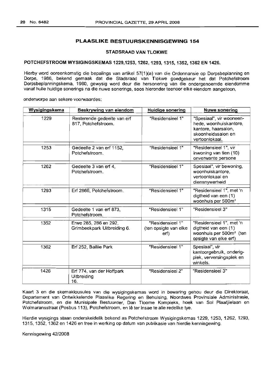# PLAASLIKE BESTUURSKENNISGEWING 154

# STADSRAAD VAN TLOKWE

# POTCHEFSTROOM WYSIGINGSKEMAS 1229,1253, 1262, 1293, 1315, 1352, 1362 EN 1426.

Hierby word ooreenkomstig die bepalings van artikel 57(1 )(a) van die Ordonnansie op Dorpsbeplanning en Dorpe, 1986, bekend gemaak dat die Stadsraad van Tlokwe goedgekeur het dat Potchefstroom Dorpsbeplanninpskerna, 1980, gewysig word deur die hersonering van die ondergenoemde eiendomme vanaf hulle huidige sonerings na die nuwe sonerings, soos hieronder teenoor elke eiendom aangetoon,

onderworpe aan sekere voorwaardes:

| Wysigingskema | Beskrywing van eiendom                               | <b>Huidige sonering</b>                           | <b>Nuwe sonering</b>                                                                                              |
|---------------|------------------------------------------------------|---------------------------------------------------|-------------------------------------------------------------------------------------------------------------------|
| 1229          | Resterende gedeelte van erf<br>817, Potchefstroom.   | "Residensieel 1"                                  | "Spesiaal", vir wooneen-<br>hede, woonhuiskantore,<br>kantore, haarsalon,<br>skoonheidssalon en<br>vertoonlokaal. |
| 1253          | Gedeelte 2 van erf 1152,<br>Potchefstroom.           | "Residensieel 1"                                  | "Residensieel 1", vir<br>inwoning van tien (10)<br>onverwante persone                                             |
| 1262          | Gedeelte 3 van erf 4,<br>Potchefstroom.              | "Residensieel 1"                                  | Spesiaal", vir bewoning,<br>woonhuiskantore,<br>vertoonlokaal en<br>diensnywerheid                                |
| 1293          | Erf 2866, Potchefstroom.                             | "Residensieel 1"                                  | "Residensieel 1", met 'n<br>digtheid van een (1)<br>woonhuis per 500m <sup>2</sup>                                |
| 1315          | Gedeelte 1 van erf 873,<br>Potchefstroom.            | "Residensieel 1"                                  | "Residensieel 3"                                                                                                  |
| 1352          | Erwe 285, 286 en 292,<br>Grimbeekpark Uitbreiding 6. | "Residensieel 1"<br>(ten opsigte van elke<br>erf) | "Residensieel 1", met 'n<br>digtheid van een (1)<br>woonhuis per 500m <sup>2</sup> (ten<br>opsigte van elke erf)  |
| 1362          | Erf 252, Baillie Park                                | "Residensieel 1"                                  | Spesiaal", vir<br>kantoorgebruik, onderig-<br>plek, verversingsplek en<br>winkels.                                |
| 1426          | Erf 774, van der Hoffpark<br>Uitbreiding<br>16.      | "Residensieel 2"                                  | "Residensieel 3"                                                                                                  |

Kaart 3 en die skemaklousules van die wysigingskemas word in bewaring gehou deur die Direktoraat, Departement van Ontwikkelende Plaaslike Regering en Behuising, Noordwes Provinsiale Administrasie, Potchefstroom, en die Munisipale Bestuurder, Dan Tloome Kompleks, hoek van Sol Plaatjielaan en Wolmaransstraat (Posbus 113), Potchefstroom, en lê ter insae te alle redelike tye.

Hierdie wysigings staan onderskeidelik bekend as Potchefstroom Wysigingskemas 1229, 1253, 1262, 1293, 1315, 1352, 1362 en 1426 en tree in werking op datum van publikasie van hierdie kennisgewing.

Kennisgewing 42/2008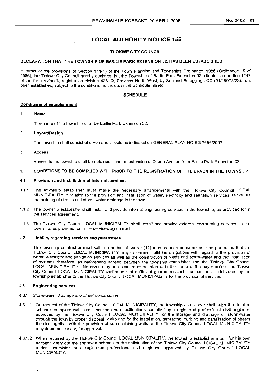# LOCAL AUTHORITY NOTICE 155

## TLOKWE CITY COUNCIL

#### DECLARATION THAT THE TOWNSHIP OF BAILLIE PARK EXTENSION 32, HAS BEEN ESTABLISHED

In. terms of the provisions of Section 111(1) of the Town Planning and Townships Ordinance, 1986 (Ordinance 15 of 1986), the Tlokwe City Council hereby declares that the Township of Baillie Park Extension 32, situated on portion 1247 of the farm Vyfhoek, registration division 428 10, Province North West, by Sonland Beleggings CC (91/18078/23), has been established, subject to the conditions as set out in the Schedule hereto.

#### SCHEDULE

#### Conditions of establishment

#### 1. Name

The name of the township shall be Baillie Park Extension 32.

#### 2. Layout/Design

The township shall consist of erven and streets as indicated on GENERAL PLAN NO SG 7656/2007.

#### 3. Access

Access to the township shall be obtained from the extension of Ditedu Avenue from Baillie Park Extension 33.

#### 4. CONDITIONS TO BE COMPLIED WITH PRIOR TO THE REGISTRATION OF THE ERVEN IN THE TOWNSHIP

#### 4.1 Provision and installation of internal services

- 4.1.1 The township establisher must make the necessary arrangements with the Tlokwe City Council LOCAL MUNICIPALITY in relation to the provision and installation of water, electricity and sanitation services as well as the building of streets and storm-water drainage in the town.
- 4.1.2 The township establisher shall install and provide internal engineering services in the township, as provided for in the services agreement.
- 4.1.3 The Tlokwe City Council LOCAL MUNICIPALITY shall install and provide external engineering services to the township, as provided for in the services agreement.

#### 4.2 Liability regarding services and guarantees

The township establisher must within a period of twelve (12) months such an extended time period as that the Tlokwe City Council LOCAL MUNICIPALITY may determine, fulfil his obligations with regard to the provision of water, electricity and sanitation services as well as the construction of roads and storm-water and the installation of systems therefore, as beforehand agreed between the township establisher and the Tlokwe City Council LOCAL MUNICIPALITY. No erven may be alienated or transferred in the name of the buyer before the Tlokwe City Council LOCAL MUNICIPALITY confirmed that sufficient guarantees/cash contributions is delivered by the township establisher to the Tlokwe City Council LOCAL MUNICIPALITY for the provision of services.

#### 4.3 Engineering services

#### 4.3.1 Storm-water drainage and street construction

- 4.3.1.1 On request of the Tlokwe City Council LOCAL MUNICIPALITY, the township establisher shall submit a detailed scheme, complete with plans, section and specifications compiled by a registered professional civil engineer, approved by the Tlokwe City Council LOCAL MUNICIPALITY for the storage and drainage of storm-water through the town by proper disposal works and for the installation, tarmacing, curbing and canalisation of streets therein, together with the provision of such retaining walls as the Tlokwe City Council LOCAL MUNICIPALITY may deem necessary, for approval.
- 4.3.1.2 When required by the Tlokwe City Council LOCAL MUNICIPALITY, the township establisher must, for his own account, carry out the approved scheme to the satisfaction of the Tlokwe City Council LOCAL MUNICIPALITY under supervision of a registered professional civil engineer, approved by Tlokwe City Council LOCAL MUNICIPALITY.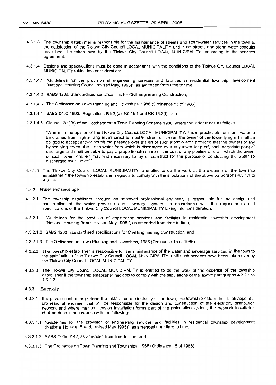- 4.3.1.3 The township establisher is responsible for the maintenance of streets and storm-water services in the town to the satisfaction of the Tlokwe City Council LOCAL MUNICIPALITY until such streets and storm-water conduits have been be taken over by the Tlokwe City Council LOCAL MUNICIPALITY, according to the services agreement.
- 4.3.1.4 Designs and specifications must be done in accordance with the conditions of the Tlokwe City Council LOCAL MUNICIPALITY taking into consideration:
- 4.3.1.4.1 "Guidelines for the provision of engineering services and facilities in residential township development (National Housing Council revised May, 1995)", as amended from time to time,
- 4.3.1.4.2 SABS 1200, Standardised specifications for Civil Engineering Construction,
- 4.3.1.4.3 The Ordinance on Town Planning and Townships, 1986 (Ordinance 15 of 1986),
- 4.3.1.4.4 SABS 0400-1990: Regulations R1(3}(a}, KK 15.1 and KK 15.2(f}, and
- 4.3.1.4.5 Clause 12(1}(b) of the Potchefstroom Town Planning Scheme 1980, where the latter reads as follows:

"Where, in the opinion of the Tlokwe City Council LOCAL MUNICIPALITY, it is impracticable for storm-water to be drained from higher lying erven direct to a public street or stream the owner of the lower lying erf shall be obliged to accept and/or permit the passage over the erf of such storm-water: provided that the owners of any higher lying erven, the storm-water from which is discharged over any lower lying erf, shall negotiate point of discharge and shall be liable to pay a proportionate share of the cost of any pipeline or drain which the owner of such lower lying erf may find necessary to lay or construct for the purpose of conducting the water so discharged over the erf."

- 4.3.1.5 The Tlokwe City Council LOCAL MUNICIPALITY is entitled to do the work at the expense of the township establisher if the township establisher neglects to comply with the stipulations of the above paragraphs 4.3.1.1 to 4.3.1.4.
- 4.3.2 Water and sewerage
- 4.3.2.1 The township establisher, through an approved professional engineer, is responsible for the design and construction of the water provision and sewerage systems in accordance with the requirements and specifications of the Tlokwe City Council LOCAL MUNICIPALITY taking into consideration:
- 4.3.2.1.1 "Guidelines for the provision of engineering services and facilities in residential township development (National Housing Board, revised May 1995)", as amended from time to time,
- 4.3.2.1.2 SABS 1200, standardised specifications for Civil Engineering Construction, and
- 4.3.2.1.3 The Ordinance on Town Planning and Townships, 1986 (Ordinance 15 of 1986).
- 4.3.2.2 The township establisher is responsible for the maintenance of the water and sewerage services in the town to the satisfaction of the Tlokwe City Council LOCAL MUNICIPALITY, until such services have been taken over by the Tlokwe City Council LOCAL MUNICIPALITY.
- 4.3.2.3 The Tlokwe City Council LOCAL MUNICIPALITY is entitled to do the work at the expense of the township establisher if the township establisher neglects to comply with the stipulations of the above paragraphs 4.3.2.1 to 4.3.2.2.
- 4.3.3 Electricity
- 4.3.3.1 If a private contractor perform the installation of electricity of the town, the township establisher shall appoint a professional engineer that will be responsible for the design and construction of the electricity distribution network and where medium tension installation forms part of the reticulation system, the network installation shall be done in accordance with the following:
- 4.3.3.1.1 "Guidelines for the provision of engineering services and facilities in residential township development (National Housing Board, revised May 1995}", as amended from time to time,
- 4.3.3.1.2 SABS Code 0142, as amended from time to time, and
- 4.3.3.1.3 The Ordinance on Town Planning and Townships, 1986 (Ordinance 15 of 1986).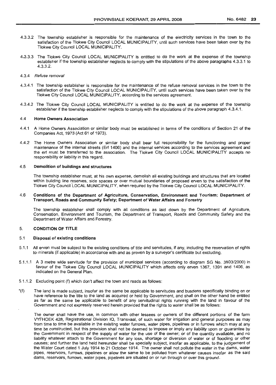- 4.3.3.2 The township establisher is responsible for the maintenance of the electricity services in the town to the satisfaction of the Tlokwe City Council LOCAL MUNICIPALITY, until such services have been taken over by the Tlokwe City Council LOCAL MUNICIPALITY.
- 4.3.3.3 The Tlokwe City Council LOCAL MUNICIPALITY is entitled to do the work at the expense of the township establisher if the township establisher neglects to comply with the stipulations of the above paragraphs 4.3.3.1 to 4.3.3.2.
- 4.3.4 Refuse removal
- 4.3.4.1 The township establisher is responsible for the maintenance of the refuse removal services in the town to the satisfaction of the Tlokwe City Council LOCAL MUNICIPALITY, until such services have been taken over by the Tlokwe City Council LOCAL MUNICIPALITY, according to the services agreement.
- 4.3.4.2 The Tlokwe City Council LOCAL MUNICIPALITY is entitled to do the work at the expense of the township establisher if the township establisher neglects to comply with the stipulations of the above paraqraph 4.3.4.1.

#### 4.4 Home Owners Association

- 4.4.1 A Home Owners Association or similar body must be established in terms of the conditions of Section 21 of the Companies Act, 1973 (Act 61 of 1973).
- 4.4.2 The Home Owners Association or similar body shall bear full responsibility for the functioning and proper maintenance of the internal streets (Erf 1406) and the internal services according to the services agreement and the erf must be transferred to the association. The Tlokwe City Council LOCAL MUNICIPALITY accepts no responsibility or liability in this regard.

#### 4.5 Demolition of buildings and structures

The township establisher must, at his own expense, demolish all existing buildings and structures that are located within building line reserves, side spaces or over mutual boundaries of proposed erven to the satisfaction of the Tlokwe City Council LOCAL MUNICIPALITY, when required by the Tlokwe City Council LOCAL MUNICIPALITY.

#### 4.6 Conditions of the Department of AgricUlture, Conservation, Environment and Tourism:; Department of Transport, Roads and Community Safety; Department of Water Affairs and Forestry

The township establisher shall comply with all conditions as laid down by the Department of AgricUlture, Conservation, Environment and Tourism, the Department of Transport, Roads and Community Safety and the Department of Water Affairs and Forestry.

#### 5. CONDITION OF TITLE

#### 5.1 Disposal of existing conditions

- 5.1.1 All erven must be subject to the existing conditions of title and servitudes, if any, including the reservation of rights to minerals (if applicable) in accordance with and as proven by a surveyor's certificate but excluding.
- 5.1.1.1 A 3 metre wide servitude for the provision of municipal services (according to diagram SG No. 3803/2000) in favour of the Tlokwe City Council LOCAL MUNICIPALITY which affects only erven 1367, 1391 and 1406, as indicated on the General Plan.
- 5.1.1.2 Excluding point (f) which don't affect the town and reads as follows:
- "(f) The land is made subject, insofar as the same be applicable to servitudes and busdens specifically binding on or have reference to the title to the land as acquired or held by Government, and shall on the other hand be entitled as far as the same be applicable to benefit of any servitudinal rights running with the land in favour of the Government and not expressly reserved herein provided that the rights to water shall be as follows:

The owner shall have the use, in common with other lessees or owners of the different portions of the farm VYFHOEK 428, Registrational Division IQ, Transvaal, of such water for irrigation and general purposes as may from time to time be available in the existing water furrows, water pipes, pipelines or in furrows which may at any time be constructed, but this provision shall not be deemed to impose or imply any liability upon or guarantee by the Government in respect of the supply of water for the use of the owner; or of the quantity available, and no liability whatever attach to the Government for any loss, shortage or diversion of water or of flooding or other causes; and further the land held hereunder shall be specially subject, insofar as applicable, to the judgement of the Water Court dated 1 July 1914 to 21 October 1914. The owner shall not pollute the water in the dams, water pipes, reservoirs, furrows, pipelines or allow the same to be polluted from whatever causes insofar as the said dams, reservoirs, furrows, water pipes, pipelines are situated on or run through or over this ground.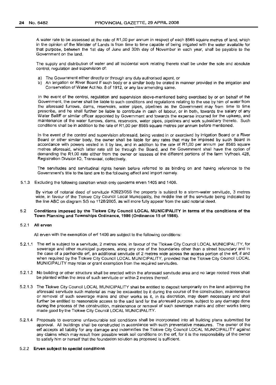A water rate to be assessed at the rate of R1,00 per annum in respect of each 8565 square metres of land, which in the opinion of the Minister of Lands is from time to time capable of being irrigated with the water available for that purpose, between the 1st day of June and 30th day of November in each year, shall be payable to the Government on the land.

The supply and distribution of water and all incidental work relating thereto shall be under the sole and absolute control, regulation and supervision of:

- a) The Government either directly or through any duty authorised agent, or
- b) An Irrigation or River Board if such body or a similar body be crated in manner provided in the irrigation and Conservation of Water Act No.8 of 1912, or any law amending same.

In the event of the control, regulation and supervision above-mentioned being exercised by or on behalf of the Government, the owner shall be liable to such conditions and regulations relating to the use by him of water from the aforesaid furrows, dams, reservoirs, water pipes, pipelines as the Government may from time to time prescribe, and he shall further be liable to contribute in cash of labour, or in both, towards the salary of any Water Bailiff or similar officer appointed by Government and towards the expense incurred for the upkeep, and maintenance of the water furrows, dams, reservoirs, water pipes, pipelines and work subsidiary thereto. Such conditions shall be in addition to the rate of R1,00 per 8565 square metres per annum before mentioned.

In the event of the control and supervision aforesaid, being vested in or exercised by irrigation Board or a River Board or other similar body, the owner shall be liable for any rates that may be imposed by such Board in accordance with powers vested in it by law, and in addition to the rate of R1,OO per annum per 8565 square metres aforesaid, which latter rate still be through the Board, and the Government shall have the option of demanding the R1,OO rate either from the owner or lessees of the different portions of the farm Vyfhoek 428, Registration Division 10, Transvaal, collectively.

The servitudes and servitudinal rights herein before referred to as binding on and having reference to the Government's title to the land are to the following effect and import namely.

5.1.3 Excluding the following condition which only concerns erven 1405 and 1406.

By virtue of notarial deed of servitude K3923/05S the property is subject to a storm-water servitude, 3 metres wide, in favour of the Tlokwe City Council Local Municipality, the middle line of the servitude being indicated by the line ABC on diagram SG no 1128/2005, as will more fully appear from the said notarial deed.

#### 5.2 **Conditions imposed by the** Tlokwe **City Council LOCAL MUNICIPALITY in terms of the conditions of the Town Planning and Townships Ordinance, 1986 (Ordinance 15 of 1986).**

#### 5.2.1 **All erven**

All erven with the exemption of erf 1406 are subject to the following conditions:

- 5.2.1.1 The erf is subject to a servitude, 2 metres wide, in favour of the Tlokwe City Council LOCAL MUNICIPALITY, for sewerage and other municipal purposes, along any one of the boundaries other than a street boundary and in the case of a panhandle erf, an additional servitude of 2 metres wide across the access portion of the erf, if and when required by the Tlokwe City Council LOCAL MUNICIPALITY, provided that the Tlokwe City Council LOCAL MUNICIPALITY may relax or grant exemption from the required servitudes.
- 5.2.1.2 No bUilding or other structure shall be erected within the aforesaid servitude area and no large rooted trees shall be planted within the area of such servitude or within 2 metres thereof.
- 5.2.1.3 The Tlokwe City Council LOCAL MUNICIPALITY shall be entitled to deposit temporarily on the land adjoining the aforesaid servitude such material as may be excavated by it during the course of the construction, maintenance or removal of such sewerage mains and other works as it, in its discretion, may deem necessary and shall further be entitled to reasonable access to the said land for the aforesaid purpose, subject to any damage done during the process of the construction, maintenance or removal of such sewerage mains and other works being made good by the Tiokwe City Council LOCAL MUNICIPALITY.
- 5.2.1.4 Proposals to overcome unfavourable soil conditions shall be incorporated into all building plans submitted for approval. All buildings shall be constructed in accordance with such preventative measures. The owner of the erf accepts all liability for any damage and indemnifies the Tlokwe City Council LOCAL MUNICIPALITY against any claims which may result from possible weak soil conditions on the erf, for it is the responsibility of the owner to satisfy him or herself that the foundation solution as proposed is sufficient.

#### 5.2.2 **Erven subject to special conditions**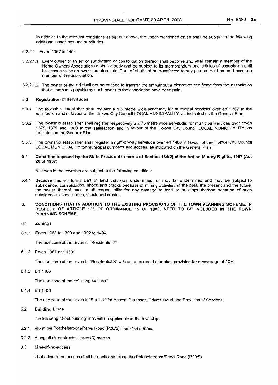In addition to the relevant conditions as set out above, the under-mentioned erven shall be subject to the following additional conditions and servitudes:

- 5.2.2.1 Erven 1367 to 1404
- 5.2.2.1.1 Every owner of an erf or subdivision or consolidation thereof shall become and shall remain a member of the Home Owners Association or similar body and be subject to its memorandum and articles of association until he ceases to be an owner as aforesaid. The erf shall not be transferred to any person that has not become a member of the association.
- 5.2.2.1.2 The owner of the erf shall not be entitled to transfer the erf without a clearance certificate from the association that all amounts payable by such owner to the association have been paid.

#### 5.3 Registration of servitudes

- 5.3.1 The township establisher shall register a 1,5 metre wide servitude, for municipal services over erf 1367 to the satisfaction and in favour of the Tlokwe City Council LOCAL MUNICIPALITY, as indicated on the General Plan.
- 5.3.2 The township establisher shall register respectively a 2,75 metre wide servitude, for municipal services over erven 1375, 1379 and 1383 to the satisfaction and in favour of the Tlokwe City Council LOCAL MUNICIPALITY, as indicated on the General Plan.
- 5.3.3 The township establisher shall register a right-of-way servitude over erf 1406 in favour of the Tlokwe City Council LOCAL MUNICIPALITY for municipal purposes and access, as indicated on the General Plan.

#### 5.4 Condition imposed by the State President in terms of Section 184(2) of the Act on Mining Rights, 1967 (Act 20 of 1967)

All erven in the township are subject to the following condition:

5.4.1 Because this erf forms part of land that was undermined, or may be undermined and may be subject to subsidence, consolidation, shock and cracks because of mining activities in the past, the present and the future, the owner thereof excepts all responsibility for any damage to land or buildings thereon because of such subsidence, consolidation, shock and cracks.

#### 6. CONDITIONS THAT IN ADDITION TO THE EXISTING PROVISIONS OF THE TOWN PLANNING SCHEME, IN RESPECT OF ARTICLE 125 OF ORDINANCE 15 OF 1986, NEED TO BE INCLUDED IN THE TOWN PLANNING SCHEME

#### 6.1 Zonings

6.1.1 Erven 1368 to 1390 and 1392 to 1404

The use zone of the erven is "Residential 2".

6.1.2 Erven 1367 and 1391

The use zone of the erven is "Residential 3" with an annexure that makes provision for a coverage of 50%.

6.1.3 Erf1405

The use zone of the erf is "Agricultural".

6.1.4 Erf 1406

The use zone of the erven is "Special" for Access Purposes, Private Road and Provision of Services.

#### 6.2 Building Lines

Die following street building lines will be applicable in the township:

- 6.2.1 Along the Potchefstroom/Parys Road (P20/5): Ten (10) metres.
- 6.2.2 Along all other streets: Three (3) metres.
- 6.3 Line-of-no-access

That a line-of-no-access shall be applicable along the Potchefstroom/Parys Road (P20/5).